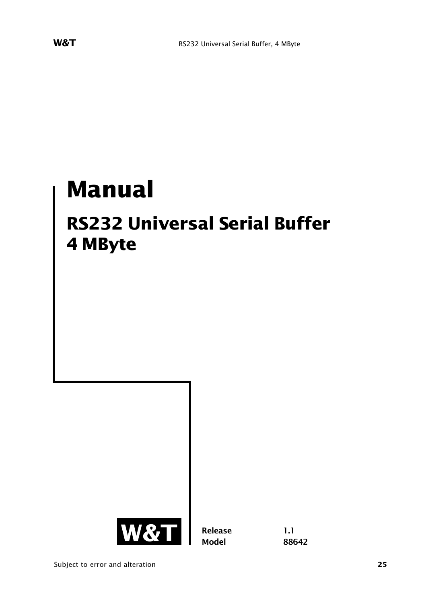# **Manual**

## **RS232 Universal Serial Buffer 4 MByte**



**Release 1.1 Model 88642**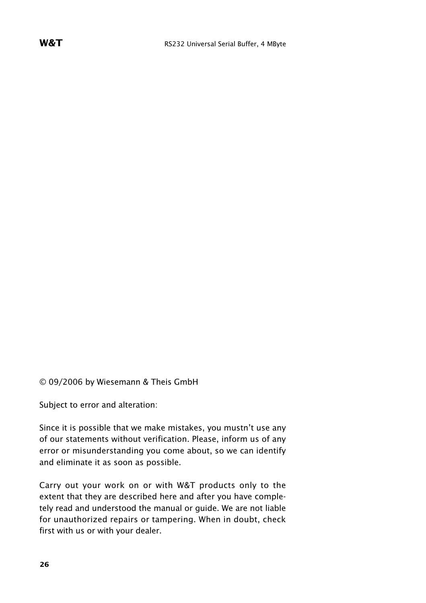© 09/2006 by Wiesemann & Theis GmbH

Subject to error and alteration:

Since it is possible that we make mistakes, you mustn't use any of our statements without verification. Please, inform us of any error or misunderstanding you come about, so we can identify and eliminate it as soon as possible.

Carry out your work on or with W&T products only to the extent that they are described here and after you have completely read and understood the manual or guide. We are not liable for unauthorized repairs or tampering. When in doubt, check first with us or with your dealer.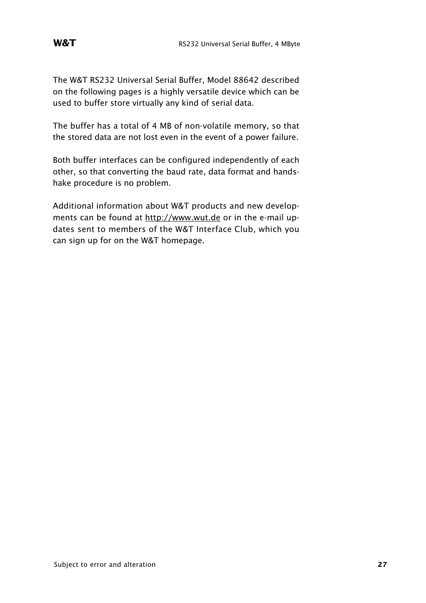The W&T RS232 Universal Serial Buffer, Model 88642 described on the following pages is a highly versatile device which can be used to buffer store virtually any kind of serial data.

The buffer has a total of 4 MB of non-volatile memory, so that the stored data are not lost even in the event of a power failure.

Both buffer interfaces can be configured independently of each other, so that converting the baud rate, data format and handshake procedure is no problem.

Additional information about W&T products and new developments can be found at http://www.wut.de or in the e-mail updates sent to members of the W&T Interface Club, which you can sign up for on the W&T homepage.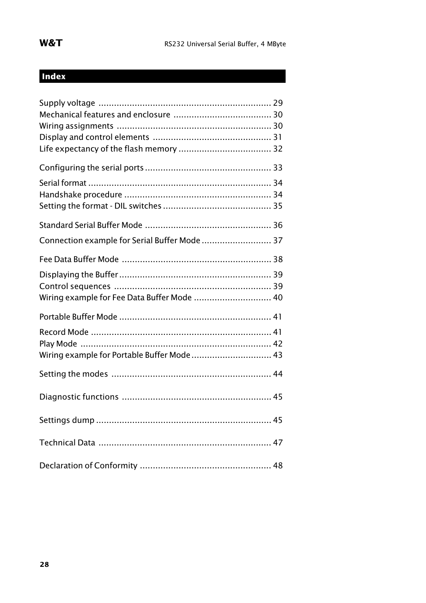### **Index**

| Connection example for Serial Buffer Mode  37 |  |
|-----------------------------------------------|--|
|                                               |  |
| Wiring example for Fee Data Buffer Mode  40   |  |
|                                               |  |
|                                               |  |
| Wiring example for Portable Buffer Mode 43    |  |
|                                               |  |
|                                               |  |
|                                               |  |
|                                               |  |
|                                               |  |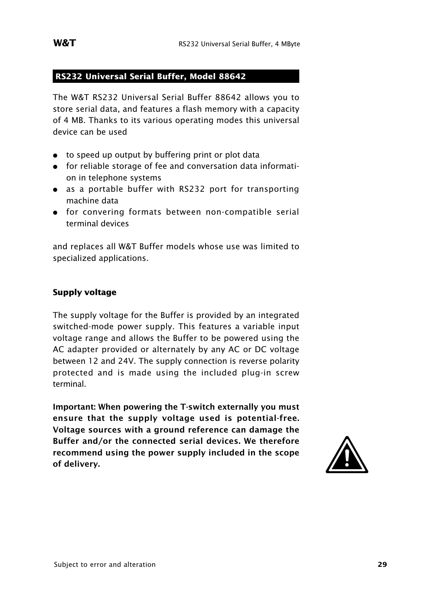#### **RS232 Universal Serial Buffer, Model 88642**

The W&T RS232 Universal Serial Buffer 88642 allows you to store serial data, and features a flash memory with a capacity of 4 MB. Thanks to its various operating modes this universal device can be used

- to speed up output by buffering print or plot data
- : for reliable storage of fee and conversation data information in telephone systems
- as a portable buffer with RS232 port for transporting machine data
- : for convering formats between non-compatible serial terminal devices

and replaces all W&T Buffer models whose use was limited to specialized applications.

#### **Supply voltage**

The supply voltage for the Buffer is provided by an integrated switched-mode power supply. This features a variable input voltage range and allows the Buffer to be powered using the AC adapter provided or alternately by any AC or DC voltage between 12 and 24V. The supply connection is reverse polarity protected and is made using the included plug-in screw terminal.

**Important: When powering the T-switch externally you must ensure that the supply voltage used is potential-free. Voltage sources with a ground reference can damage the Buffer and/or the connected serial devices. We therefore recommend using the power supply included in the scope** Voltage sources with a ground reference can damage the<br>Buffer and/or the connected serial devices. We therefore<br>recommend using the power supply included in the scope<br>of delivery.

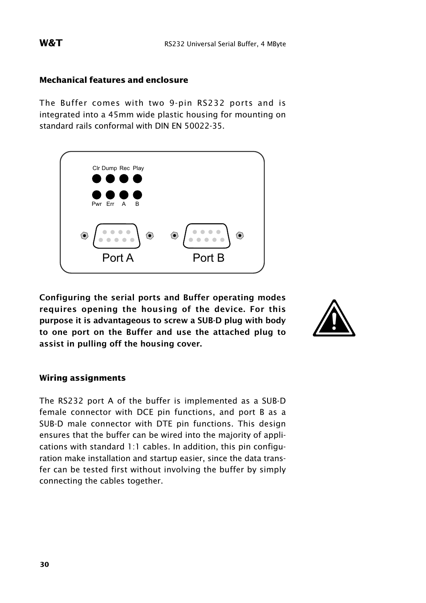#### **Mechanical features and enclosure**

The Buffer comes with two 9-pin RS232 ports and is integrated into a 45mm wide plastic housing for mounting on standard rails conformal with DIN EN 50022-35.



**Configuring the serial ports and Buffer operating modes requires opening the housing of the device. For this purpose it is advantageous to screw a SUB-D plug with body to one port on the Buffer and use the attached plug to assist in pulling off the housing cover.**



#### **Wiring assignments**

The RS232 port A of the buffer is implemented as a SUB-D female connector with DCE pin functions, and port B as a SUB-D male connector with DTE pin functions. This design ensures that the buffer can be wired into the majority of applications with standard 1:1 cables. In addition, this pin configuration make installation and startup easier, since the data transfer can be tested first without involving the buffer by simply connecting the cables together.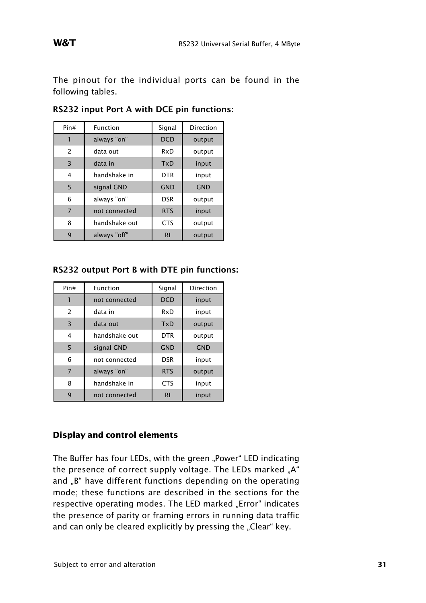The pinout for the individual ports can be found in the following tables.

| Pin#           | Function      | Signal         | Direction  |
|----------------|---------------|----------------|------------|
|                | always "on"   | <b>DCD</b>     | output     |
| 2              | data out      | RxD            | output     |
| 3              | data in       | TxD            | input      |
| 4              | handshake in  | <b>DTR</b>     | input      |
| 5              | signal GND    | <b>GND</b>     | <b>GND</b> |
| 6              | always "on"   | <b>DSR</b>     | output     |
| $\overline{7}$ | not connected | <b>RTS</b>     | input      |
| 8              | handshake out | <b>CTS</b>     | output     |
| 9              | always "off"  | R <sub>1</sub> | output     |

**RS232 input Port A with DCE pin functions:**

**RS232 output Port B with DTE pin functions:**

| Pin#           | <b>Function</b> | Signal         | Direction  |
|----------------|-----------------|----------------|------------|
|                | not connected   | <b>DCD</b>     | input      |
| 2              | data in         | RxD            | input      |
| 3              | data out        | TxD            | output     |
| 4              | handshake out   | <b>DTR</b>     | output     |
| 5              | signal GND      | <b>GND</b>     | <b>GND</b> |
| 6              | not connected   | <b>DSR</b>     | input      |
| $\overline{7}$ | always "on"     | <b>RTS</b>     | output     |
| 8              | handshake in    | <b>CTS</b>     | input      |
| q              | not connected   | R <sub>l</sub> | input      |

#### **Display and control elements**

The Buffer has four LEDs, with the green "Power" LED indicating the presence of correct supply voltage. The LEDs marked "A" and "B" have different functions depending on the operating mode; these functions are described in the sections for the respective operating modes. The LED marked "Error" indicates the presence of parity or framing errors in running data traffic and can only be cleared explicitly by pressing the "Clear" key.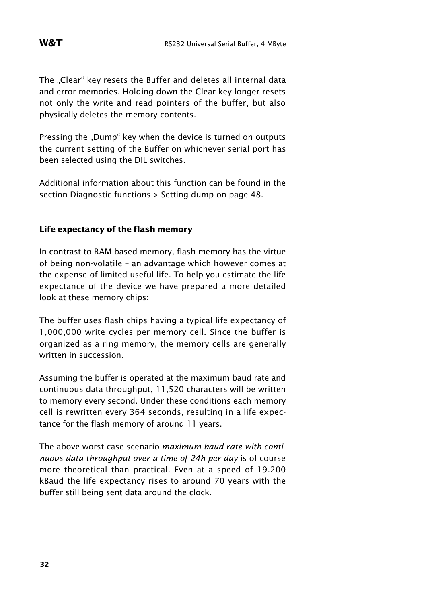The "Clear" key resets the Buffer and deletes all internal data and error memories. Holding down the Clear key longer resets not only the write and read pointers of the buffer, but also physically deletes the memory contents.

Pressing the "Dump" key when the device is turned on outputs the current setting of the Buffer on whichever serial port has been selected using the DIL switches.

Additional information about this function can be found in the section Diagnostic functions > Setting-dump on page 48.

#### **Life expectancy of the flash memory**

In contrast to RAM-based memory, flash memory has the virtue of being non-volatile – an advantage which however comes at the expense of limited useful life. To help you estimate the life expectance of the device we have prepared a more detailed look at these memory chips:

The buffer uses flash chips having a typical life expectancy of 1,000,000 write cycles per memory cell. Since the buffer is organized as a ring memory, the memory cells are generally written in succession.

Assuming the buffer is operated at the maximum baud rate and continuous data throughput, 11,520 characters will be written to memory every second. Under these conditions each memory cell is rewritten every 364 seconds, resulting in a life expectance for the flash memory of around 11 years.

The above worst-case scenario *maximum baud rate with continuous data throughput over a time of 24h per day* is of course more theoretical than practical. Even at a speed of 19.200 kBaud the life expectancy rises to around 70 years with the buffer still being sent data around the clock.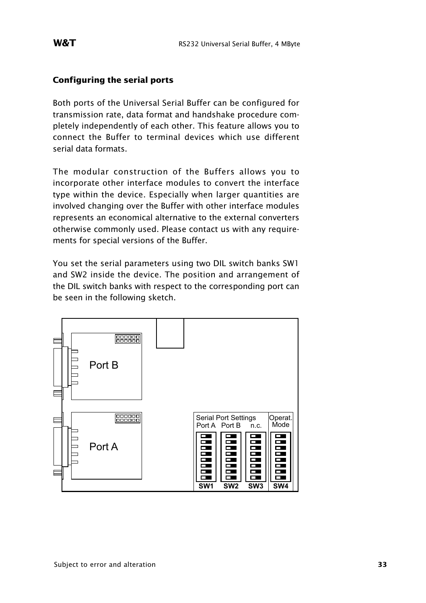#### **Configuring the serial ports**

Both ports of the Universal Serial Buffer can be configured for transmission rate, data format and handshake procedure completely independently of each other. This feature allows you to connect the Buffer to terminal devices which use different serial data formats.

The modular construction of the Buffers allows you to incorporate other interface modules to convert the interface type within the device. Especially when larger quantities are involved changing over the Buffer with other interface modules represents an economical alternative to the external converters otherwise commonly used. Please contact us with any requirements for special versions of the Buffer.

You set the serial parameters using two DIL switch banks SW1 and SW2 inside the device. The position and arrangement of the DIL switch banks with respect to the corresponding port can be seen in the following sketch.

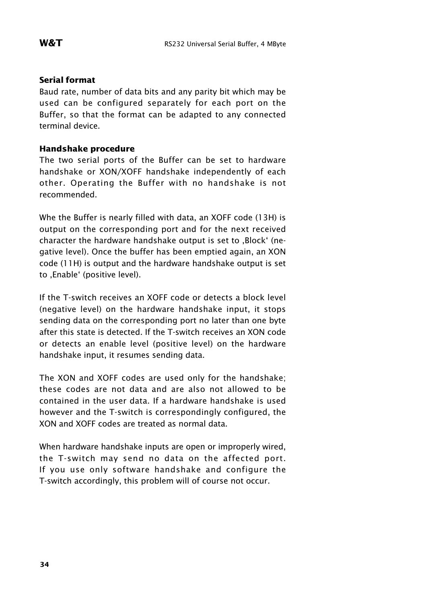#### **Serial format**

Baud rate, number of data bits and any parity bit which may be used can be configured separately for each port on the Buffer, so that the format can be adapted to any connected terminal device.

#### **Handshake procedure**

The two serial ports of the Buffer can be set to hardware handshake or XON/XOFF handshake independently of each other. Operating the Buffer with no handshake is not recommended.

Whe the Buffer is nearly filled with data, an XOFF code (13H) is output on the corresponding port and for the next received character the hardware handshake output is set to .Block' (negative level). Once the buffer has been emptied again, an XON code (11H) is output and the hardware handshake output is set to , Enable' (positive level).

If the T-switch receives an XOFF code or detects a block level (negative level) on the hardware handshake input, it stops sending data on the corresponding port no later than one byte after this state is detected. If the T-switch receives an XON code or detects an enable level (positive level) on the hardware handshake input, it resumes sending data.

The XON and XOFF codes are used only for the handshake; these codes are not data and are also not allowed to be contained in the user data. If a hardware handshake is used however and the T-switch is correspondingly configured, the XON and XOFF codes are treated as normal data.

When hardware handshake inputs are open or improperly wired, the T-switch may send no data on the affected port. If you use only software handshake and configure the T-switch accordingly, this problem will of course not occur.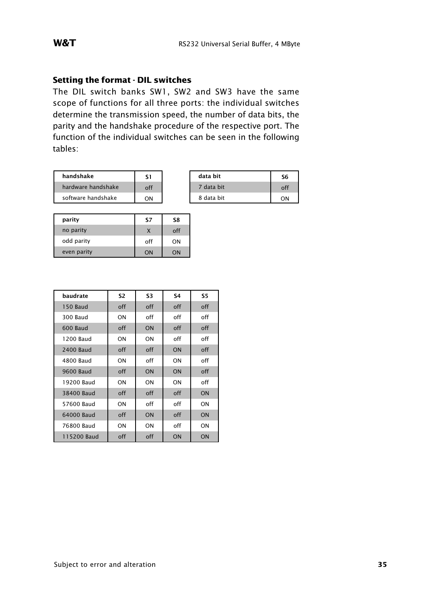#### **Setting the format - DIL switches**

The DIL switch banks SW1, SW2 and SW3 have the same scope of functions for all three ports: the individual switches determine the transmission speed, the number of data bits, the parity and the handshake procedure of the respective port. The function of the individual switches can be seen in the following tables:

| handshake          |     |
|--------------------|-----|
| hardware handshake | ∩ff |
| software handshake |     |

| handshake          |     | data bit   | S6 |
|--------------------|-----|------------|----|
| hardware handshake | off | 7 data bit | of |
| software handshake | ON  | 8 data bit | ON |

| parity      | S7  | S8  |
|-------------|-----|-----|
| no parity   | X   | off |
| odd parity  | off | ON  |
| even parity | ON  | ЮC  |

| baudrate         | S2  | S3        | S4  | S5. |
|------------------|-----|-----------|-----|-----|
| 150 Baud         | off | off       | off | off |
| 300 Baud         | ON  | off       | off | off |
| 600 Baud         | off | <b>ON</b> | off | off |
| 1200 Baud        | ON  | ON        | off | off |
| 2400 Baud        | off | off       | ON  | off |
| 4800 Baud        | ON  | off       | ΟN  | off |
| <b>9600 Baud</b> | off | ON        | ON  | off |
| 19200 Baud       | ON  | ON        | ON  | off |
| 38400 Baud       | off | off       | off | ON  |
| 57600 Baud       | ON  | off       | off | ON  |
| 64000 Baud       | off | ON        | off | ON  |
| 76800 Baud       | ON  | ON        | off | ON  |
| 115200 Baud      | off | off       | ON  | ON  |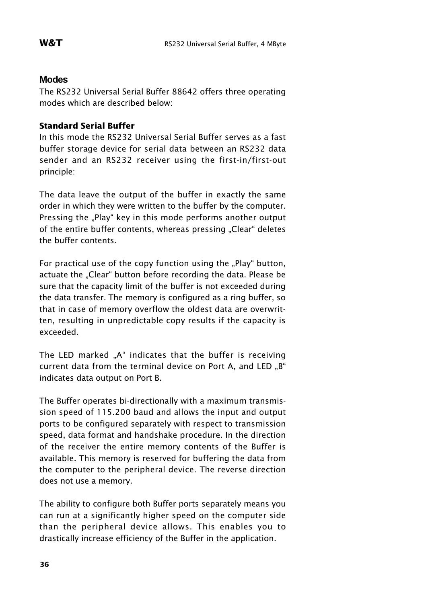#### Modes

The RS232 Universal Serial Buffer 88642 offers three operating modes which are described below:

#### **Standard Serial Buffer**

In this mode the RS232 Universal Serial Buffer serves as a fast buffer storage device for serial data between an RS232 data sender and an RS232 receiver using the first-in/first-out principle:

The data leave the output of the buffer in exactly the same order in which they were written to the buffer by the computer. Pressing the "Play" key in this mode performs another output of the entire buffer contents, whereas pressing "Clear" deletes the buffer contents.

For practical use of the copy function using the "Play" button, actuate the "Clear" button before recording the data. Please be sure that the capacity limit of the buffer is not exceeded during the data transfer. The memory is configured as a ring buffer, so that in case of memory overflow the oldest data are overwritten, resulting in unpredictable copy results if the capacity is exceeded.

The LED marked "A" indicates that the buffer is receiving current data from the terminal device on Port A, and LED "B" indicates data output on Port B.

The Buffer operates bi-directionally with a maximum transmission speed of 115.200 baud and allows the input and output ports to be configured separately with respect to transmission speed, data format and handshake procedure. In the direction of the receiver the entire memory contents of the Buffer is available. This memory is reserved for buffering the data from the computer to the peripheral device. The reverse direction does not use a memory.

The ability to configure both Buffer ports separately means you can run at a significantly higher speed on the computer side than the peripheral device allows. This enables you to drastically increase efficiency of the Buffer in the application.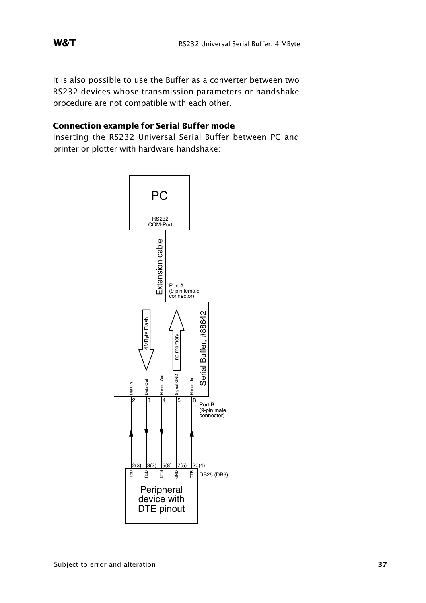It is also possible to use the Buffer as a converter between two RS232 devices whose transmission parameters or handshake procedure are not compatible with each other.

#### **Connection example for Serial Buffer mode**

Inserting the RS232 Universal Serial Buffer between PC and printer or plotter with hardware handshake:

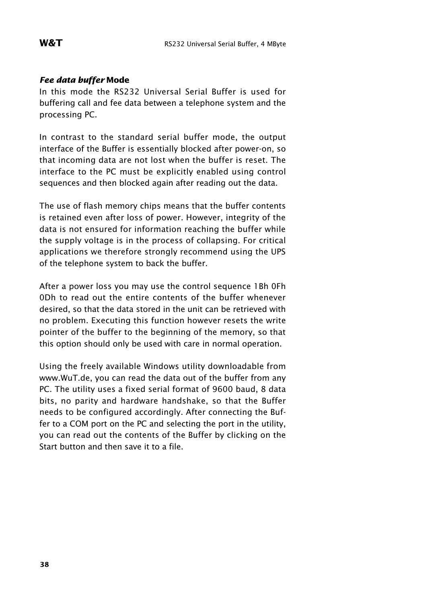#### *Fee data buffer* **Mode**

In this mode the RS232 Universal Serial Buffer is used for buffering call and fee data between a telephone system and the processing PC.

In contrast to the standard serial buffer mode, the output interface of the Buffer is essentially blocked after power-on, so that incoming data are not lost when the buffer is reset. The interface to the PC must be explicitly enabled using control sequences and then blocked again after reading out the data.

The use of flash memory chips means that the buffer contents is retained even after loss of power. However, integrity of the data is not ensured for information reaching the buffer while the supply voltage is in the process of collapsing. For critical applications we therefore strongly recommend using the UPS of the telephone system to back the buffer.

After a power loss you may use the control sequence 1Bh 0Fh 0Dh to read out the entire contents of the buffer whenever desired, so that the data stored in the unit can be retrieved with no problem. Executing this function however resets the write pointer of the buffer to the beginning of the memory, so that this option should only be used with care in normal operation.

Using the freely available Windows utility downloadable from www.WuT.de, you can read the data out of the buffer from any PC. The utility uses a fixed serial format of 9600 baud, 8 data bits, no parity and hardware handshake, so that the Buffer needs to be configured accordingly. After connecting the Buffer to a COM port on the PC and selecting the port in the utility, you can read out the contents of the Buffer by clicking on the Start button and then save it to a file.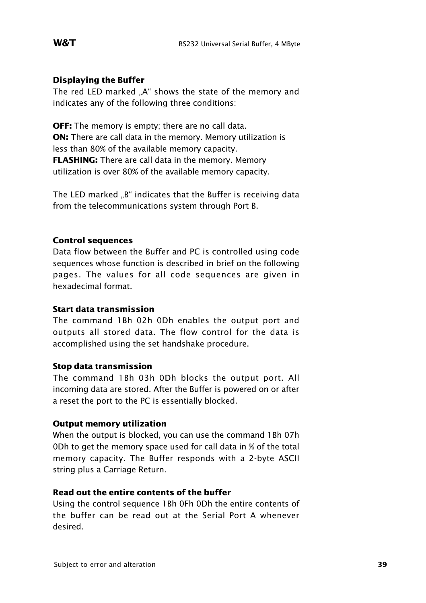#### **Displaying the Buffer**

The red LED marked ..A" shows the state of the memory and indicates any of the following three conditions:

**OFF:** The memory is empty; there are no call data. **ON:** There are call data in the memory. Memory utilization is less than 80% of the available memory capacity. **FLASHING:** There are call data in the memory. Memory utilization is over 80% of the available memory capacity.

The LED marked "B" indicates that the Buffer is receiving data from the telecommunications system through Port B.

#### **Control sequences**

Data flow between the Buffer and PC is controlled using code sequences whose function is described in brief on the following pages. The values for all code sequences are given in hexadecimal format.

#### **Start data transmission**

The command 1Bh 02h 0Dh enables the output port and outputs all stored data. The flow control for the data is accomplished using the set handshake procedure.

#### **Stop data transmission**

The command 1Bh 03h 0Dh blocks the output port. All incoming data are stored. After the Buffer is powered on or after a reset the port to the PC is essentially blocked.

#### **Output memory utilization**

When the output is blocked, you can use the command 1Bh 07h 0Dh to get the memory space used for call data in % of the total memory capacity. The Buffer responds with a 2-byte ASCII string plus a Carriage Return.

#### **Read out the entire contents of the buffer**

Using the control sequence 1Bh 0Fh 0Dh the entire contents of the buffer can be read out at the Serial Port A whenever desired.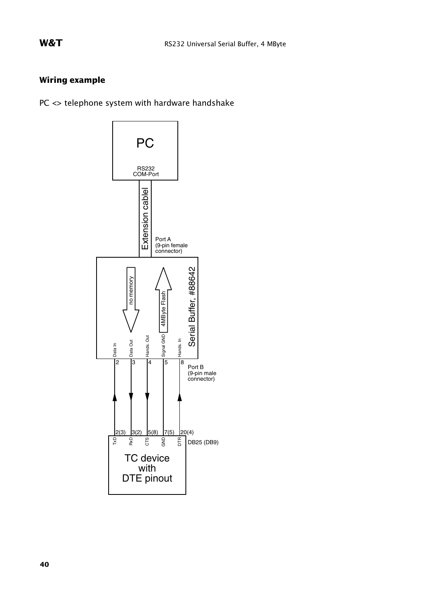### **Wiring example**

PC <> telephone system with hardware handshake

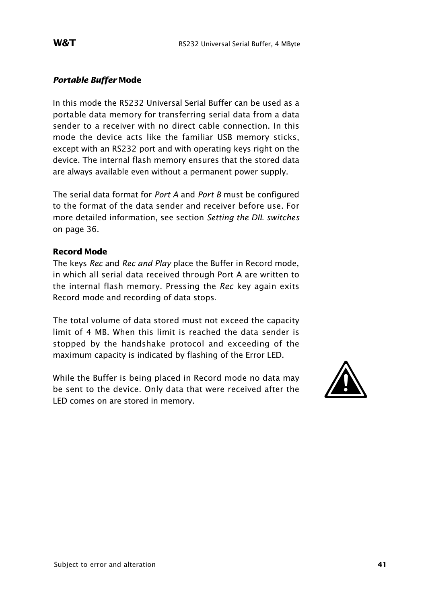#### *Portable Buffer* **Mode**

In this mode the RS232 Universal Serial Buffer can be used as a portable data memory for transferring serial data from a data sender to a receiver with no direct cable connection. In this mode the device acts like the familiar USB memory sticks, except with an RS232 port and with operating keys right on the device. The internal flash memory ensures that the stored data are always available even without a permanent power supply.

The serial data format for *Port A* and *Port B* must be configured to the format of the data sender and receiver before use. For more detailed information, see section *Setting the DIL switches* on page 36.

#### **Record Mode**

The keys *Rec* and *Rec and Play* place the Buffer in Record mode, in which all serial data received through Port A are written to the internal flash memory. Pressing the *Rec* key again exits Record mode and recording of data stops.

The total volume of data stored must not exceed the capacity limit of 4 MB. When this limit is reached the data sender is stopped by the handshake protocol and exceeding of the maximum capacity is indicated by flashing of the Error LED.

While the Buffer is being placed in Record mode no data may be sent to the device. Only data that were received after the maximum capacity is indicated by flashing of the Error LED.<br>While the Buffer is being placed in Record mode no data may<br>be sent to the device. Only data that were received after the<br>LED comes on are stored in memory.

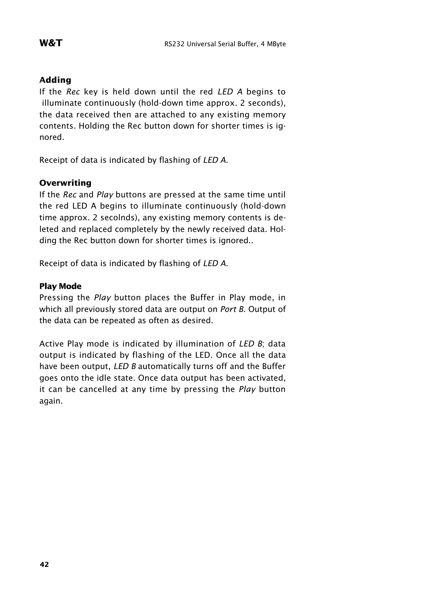#### **Adding**

If the *Rec* key is held down until the red *LED A* begins to illuminate continuously (hold-down time approx. 2 seconds), the data received then are attached to any existing memory contents. Holding the Rec button down for shorter times is ignored.

Receipt of data is indicated by flashing of *LED A*.

#### **Overwriting**

If the *Rec* and *Play* buttons are pressed at the same time until the red LED A begins to illuminate continuously (hold-down time approx. 2 secolnds), any existing memory contents is deleted and replaced completely by the newly received data. Holding the Rec button down for shorter times is ignored..

Receipt of data is indicated by flashing of *LED A*.

#### **Play Mode**

Pressing the *Play* button places the Buffer in Play mode, in which all previously stored data are output on *Port B*. Output of the data can be repeated as often as desired.

Active Play mode is indicated by illumination of *LED B*; data output is indicated by flashing of the LED. Once all the data have been output, *LED B* automatically turns off and the Buffer goes onto the idle state. Once data output has been activated, it can be cancelled at any time by pressing the *Play* button again.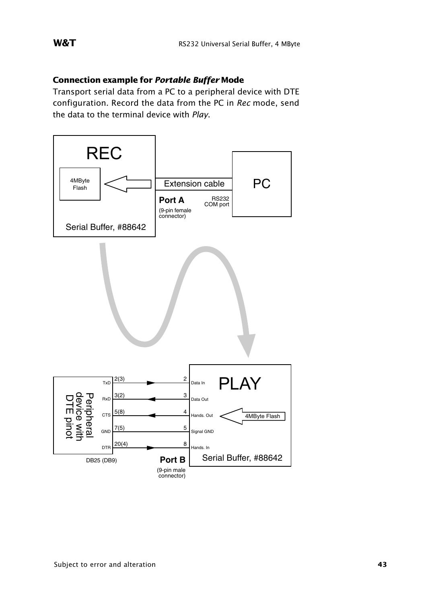#### W&T

### **Connection example for Portable Buffer Mode**

Transport serial data from a PC to a peripheral device with DTE configuration. Record the data from the PC in Rec mode, send the data to the terminal device with Play.

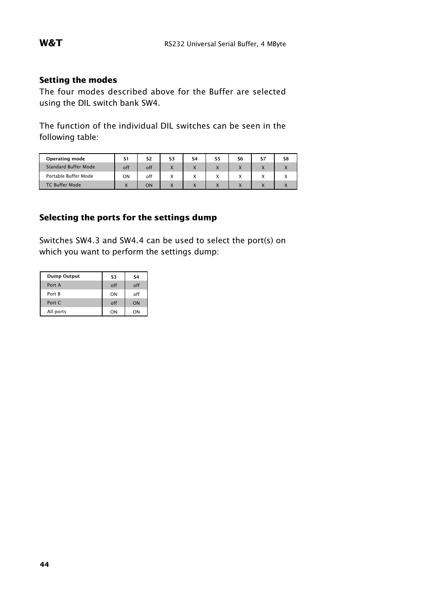#### **Setting the modes**

The four modes described above for the Buffer are selected using the DIL switch bank SW4.

The function of the individual DIL switches can be seen in the following table:

| <b>Operating mode</b>       | S1  | S2  | S3                                    | <b>S4</b>      | S5                            | S6                                    | S7                            | S8 |
|-----------------------------|-----|-----|---------------------------------------|----------------|-------------------------------|---------------------------------------|-------------------------------|----|
| <b>Standard Buffer Mode</b> | off | off | $\mathbf v$<br>ᄉ                      | $\overline{ }$ | $\overline{\phantom{a}}$      | $\mathbf v$                           | $\overline{ }$                |    |
| Portable Buffer Mode        | ON  | off | X                                     |                | $\overline{\phantom{a}}$<br>⋏ | $\overline{\phantom{a}}$<br>$\lambda$ | $\overline{\phantom{a}}$<br>⋏ |    |
| <b>TC Buffer Mode</b>       |     | ON  | $\overline{\phantom{a}}$<br>$\lambda$ |                |                               |                                       |                               |    |

### **Selecting the ports for the settings dump**

Switches SW4.3 and SW4.4 can be used to select the port(s) on which you want to perform the settings dump:

| Dump Output   | S3  | S <sub>4</sub> |
|---------------|-----|----------------|
| Port A        | off | off            |
| Port <b>B</b> | ON  | off            |
| Port C        | off | ON             |
| All ports     | ON  | ON             |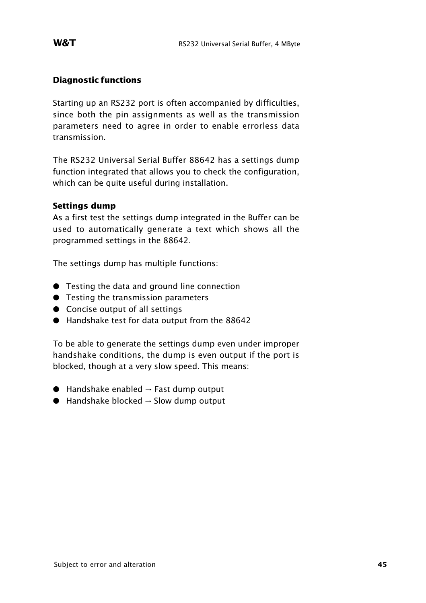#### **Diagnostic functions**

Starting up an RS232 port is often accompanied by difficulties, since both the pin assignments as well as the transmission parameters need to agree in order to enable errorless data transmission.

The RS232 Universal Serial Buffer 88642 has a settings dump function integrated that allows you to check the configuration, which can be quite useful during installation.

#### **Settings dump**

As a first test the settings dump integrated in the Buffer can be used to automatically generate a text which shows all the programmed settings in the 88642.

The settings dump has multiple functions:

- **•** Testing the data and ground line connection
- **•** Testing the transmission parameters
- Concise output of all settings
- : Handshake test for data output from the 88642

To be able to generate the settings dump even under improper handshake conditions, the dump is even output if the port is blocked, though at a very slow speed. This means:

- $\bullet$  Handshake enabled  $\rightarrow$  Fast dump output
- $\bullet$  Handshake blocked  $\rightarrow$  Slow dump output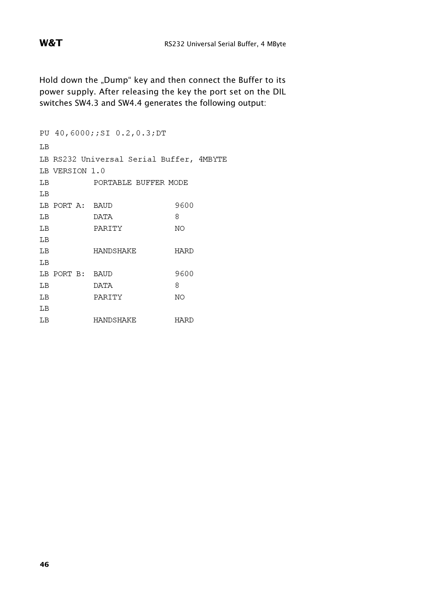W&T

Hold down the "Dump" key and then connect the Buffer to its power supply. After releasing the key the port set on the DIL switches SW4.3 and SW4.4 generates the following output:

```
PU 40,6000;;SI 0.2,0.3;DT
LB
LB RS232 Universal Serial Buffer, 4MBYTE
LB VERSION 1.0
          PORTABLE BUFFER MODE
LB
LB
LB PORT A: BAUD
                           9600
LB
          DATA
                           8
\rm LBPARITY
                           NO
LB
LB
          HANDSHAKE
                           HARD
LB
LB PORT B: BAUD
                           9600
LB
                            8
           DATA
           PARITY
LB
                           NO
LB
LB
          HANDSHAKE
                          HARD
```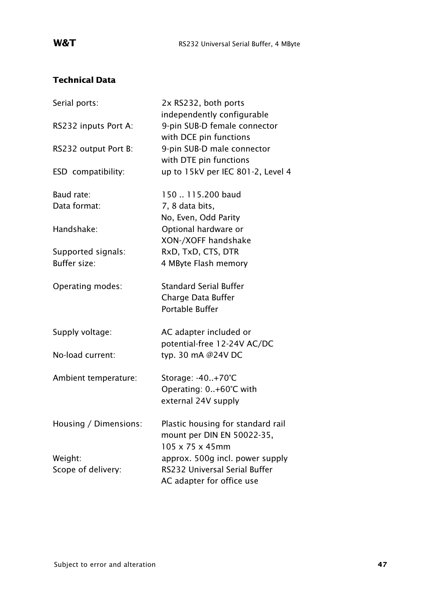### **Technical Data**

| Serial ports:         | 2x RS232, both ports                                       |
|-----------------------|------------------------------------------------------------|
| RS232 inputs Port A:  | independently configurable<br>9-pin SUB-D female connector |
|                       | with DCE pin functions                                     |
| RS232 output Port B:  | 9-pin SUB-D male connector                                 |
|                       | with DTE pin functions                                     |
| ESD compatibility:    | up to 15kV per IEC 801-2, Level 4                          |
| Baud rate:            | 150  115.200 baud                                          |
| Data format:          | 7, 8 data bits,                                            |
|                       | No, Even, Odd Parity                                       |
| Handshake:            | Optional hardware or                                       |
|                       | XON-/XOFF handshake                                        |
| Supported signals:    | RxD, TxD, CTS, DTR                                         |
| <b>Buffer size:</b>   | 4 MByte Flash memory                                       |
| Operating modes:      | <b>Standard Serial Buffer</b>                              |
|                       | Charge Data Buffer                                         |
|                       | Portable Buffer                                            |
| Supply voltage:       | AC adapter included or                                     |
|                       | potential-free 12-24V AC/DC                                |
| No-load current:      | typ. 30 mA @24V DC                                         |
| Ambient temperature:  | Storage: -40+70°C                                          |
|                       | Operating: 0+60°C with                                     |
|                       | external 24V supply                                        |
| Housing / Dimensions: | Plastic housing for standard rail                          |
|                       | mount per DIN EN 50022-35,                                 |
|                       | $105 \times 75 \times 45$ mm                               |
| Weight:               | approx. 500g incl. power supply                            |
| Scope of delivery:    | RS232 Universal Serial Buffer                              |
|                       | AC adapter for office use                                  |